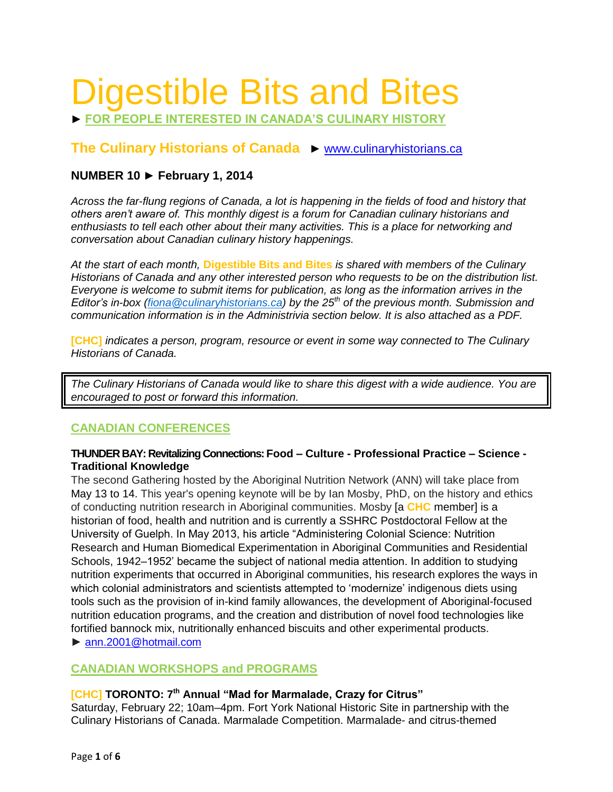# Digestible Bits and Bites

► **FOR PEOPLE INTERESTED IN CANADA'S CULINARY HISTORY**

# **The Culinary Historians of Canada** ► [www.culinaryhistorians.ca](http://www.culinaryhistorians.ca/)

# **NUMBER 10 ► February 1, 2014**

*Across the far-flung regions of Canada, a lot is happening in the fields of food and history that others aren't aware of. This monthly digest is a forum for Canadian culinary historians and enthusiasts to tell each other about their many activities. This is a place for networking and conversation about Canadian culinary history happenings.* 

*At the start of each month,* **Digestible Bits and Bites** *is shared with members of the Culinary Historians of Canada and any other interested person who requests to be on the distribution list. Everyone is welcome to submit items for publication, as long as the information arrives in the Editor's in-box [\(fiona@culinaryhistorians.ca\)](mailto:fiona@culinaryhistorians.ca) by the 25th of the previous month. Submission and communication information is in the Administrivia section below. It is also attached as a PDF.*

**[CHC]** *indicates a person, program, resource or event in some way connected to The Culinary Historians of Canada.*

*The Culinary Historians of Canada would like to share this digest with a wide audience. You are encouraged to post or forward this information.*

# **CANADIAN CONFERENCES**

## **THUNDER BAY: Revitalizing Connections: Food – Culture - Professional Practice – Science - Traditional Knowledge**

The second Gathering hosted by the Aboriginal Nutrition Network (ANN) will take place from May 13 to 14. This year's opening keynote will be by Ian Mosby, PhD, on the history and ethics of conducting nutrition research in Aboriginal communities. Mosby [a **CHC** member] is a historian of food, health and nutrition and is currently a SSHRC Postdoctoral Fellow at the University of Guelph. In May 2013, his article "Administering Colonial Science: Nutrition Research and Human Biomedical Experimentation in Aboriginal Communities and Residential Schools, 1942–1952' became the subject of national media attention. In addition to studying nutrition experiments that occurred in Aboriginal communities, his research explores the ways in which colonial administrators and scientists attempted to 'modernize' indigenous diets using tools such as the provision of in-kind family allowances, the development of Aboriginal-focused nutrition education programs, and the creation and distribution of novel food technologies like fortified bannock mix, nutritionally enhanced biscuits and other experimental products.

► [ann.2001@hotmail.com](mailto:ann.2001@hotmail.com)

# **CANADIAN WORKSHOPS and PROGRAMS**

## **[CHC] TORONTO: 7 th Annual "Mad for Marmalade, Crazy for Citrus"**

Saturday, February 22; 10am–4pm. Fort York National Historic Site in partnership with the Culinary Historians of Canada. Marmalade Competition. Marmalade- and citrus-themed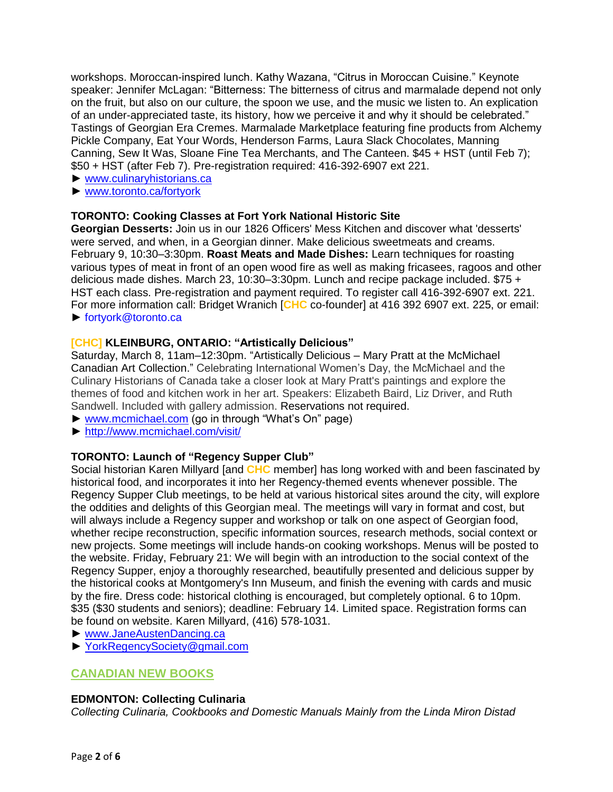workshops. Moroccan-inspired lunch. Kathy Wazana, "Citrus in Moroccan Cuisine." Keynote speaker: Jennifer McLagan: "Bitterness: The bitterness of citrus and marmalade depend not only on the fruit, but also on our culture, the spoon we use, and the music we listen to. An explication of an under-appreciated taste, its history, how we perceive it and why it should be celebrated." Tastings of Georgian Era Cremes. Marmalade Marketplace featuring fine products from Alchemy Pickle Company, Eat Your Words, Henderson Farms, Laura Slack Chocolates, Manning Canning, Sew It Was, Sloane Fine Tea Merchants, and The Canteen. \$45 + HST (until Feb 7); \$50 + HST (after Feb 7). Pre-registration required: 416-392-6907 ext 221.

- ► [www.culinaryhistorians.ca](http://www.culinaryhistorians.ca/)
- ► [www.toronto.ca/fortyork](http://www.toronto.ca/fortyork)

## **TORONTO: Cooking Classes at Fort York National Historic Site**

**Georgian Desserts:** Join us in our 1826 Officers' Mess Kitchen and discover what 'desserts' were served, and when, in a Georgian dinner. Make delicious sweetmeats and creams. February 9, 10:30–3:30pm. **Roast Meats and Made Dishes:** Learn techniques for roasting various types of meat in front of an open wood fire as well as making fricasees, ragoos and other delicious made dishes. March 23, 10:30–3:30pm. Lunch and recipe package included. \$75 + HST each class. Pre-registration and payment required. To register call 416-392-6907 ext. 221. For more information call: Bridget Wranich [**CHC** co-founder] at 416 392 6907 ext. 225, or email: ► [fortyork@toronto.ca](mailto:fortyork@toronto.ca)

## **[CHC] KLEINBURG, ONTARIO: "Artistically Delicious"**

Saturday, March 8, 11am–12:30pm. "Artistically Delicious – Mary Pratt at the McMichael Canadian Art Collection." Celebrating International Women's Day, the McMichael and the Culinary Historians of Canada take a closer look at Mary Pratt's paintings and explore the themes of food and kitchen work in her art. Speakers: Elizabeth Baird, Liz Driver, and Ruth Sandwell. Included with gallery admission. Reservations not required.

- ► [www.mcmichael.com](http://www.mcmichael.com/) (go in through "What's On" page)
- ► <http://www.mcmichael.com/visit/>

# **TORONTO: Launch of "Regency Supper Club"**

Social historian Karen Millyard [and **CHC** member] has long worked with and been fascinated by historical food, and incorporates it into her Regency-themed events whenever possible. The Regency Supper Club meetings, to be held at various historical sites around the city, will explore the oddities and delights of this Georgian meal. The meetings will vary in format and cost, but will always include a Regency supper and workshop or talk on one aspect of Georgian food, whether recipe reconstruction, specific information sources, research methods, social context or new projects. Some meetings will include hands-on cooking workshops. Menus will be posted to the website. Friday, February 21: We will begin with an introduction to the social context of the Regency Supper, enjoy a thoroughly researched, beautifully presented and delicious supper by the historical cooks at Montgomery's Inn Museum, and finish the evening with cards and music by the fire. Dress code: historical clothing is encouraged, but completely optional. 6 to 10pm. \$35 (\$30 students and seniors); deadline: February 14. Limited space. Registration forms can be found on website. Karen Millyard, [\(416\) 578-1031.](tel:%28416%29%20578-1031)

- ► [www.JaneAustenDancing.ca](http://www.janeaustendancing.ca/)
- ► [YorkRegencySociety@gmail.com](mailto:YorkRegencySociety@gmail.com)

# **CANADIAN NEW BOOKS**

## **EDMONTON: Collecting Culinaria**

*Collecting Culinaria, Cookbooks and Domestic Manuals Mainly from the Linda Miron Distad*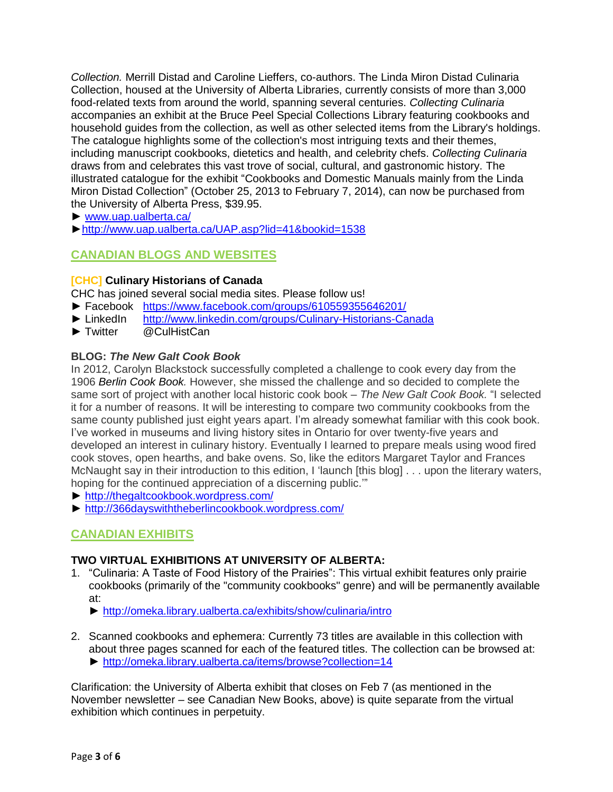*Collection.* Merrill Distad and Caroline Lieffers, co-authors. The Linda Miron Distad Culinaria Collection, housed at the University of Alberta Libraries, currently consists of more than 3,000 food-related texts from around the world, spanning several centuries. *Collecting Culinaria* accompanies an exhibit at the Bruce Peel Special Collections Library featuring cookbooks and household guides from the collection, as well as other selected items from the Library's holdings. The catalogue highlights some of the collection's most intriguing texts and their themes, including manuscript cookbooks, dietetics and health, and celebrity chefs. *Collecting Culinaria*  draws from and celebrates this vast trove of social, cultural, and gastronomic history. The illustrated catalogue for the exhibit "Cookbooks and Domestic Manuals mainly from the Linda Miron Distad Collection" (October 25, 2013 to February 7, 2014), can now be purchased from the University of Alberta Press, \$39.95.

- ► [www.uap.ualberta.ca/](http://www.uap.ualberta.ca/)
- [►http://www.uap.ualberta.ca/UAP.asp?lid=41&bookid=1538](http://www.uap.ualberta.ca/UAP.asp?lid=41&bookid=1538)

# **CANADIAN BLOGS AND WEBSITES**

## **[CHC] Culinary Historians of Canada**

CHC has joined several social media sites. Please follow us!

- ► Facebook <https://www.facebook.com/groups/610559355646201/>
- ► LinkedIn [http://www.linkedin.com/groups/Culinary-Historians-Canada](http://www.linkedin.com/groups/Culinary-Historians-Canada-7418897?gid=7418897&mostPopular=&trk=tyah&trkInfo=tas%3Aculinary%20hi%2Cidx%3A2-2-3)
- ► Twitter @CulHistCan

## **BLOG:** *The New Galt Cook Book*

In 2012, Carolyn Blackstock successfully completed a challenge to cook every day from the 1906 *Berlin Cook Book.* However, she missed the challenge and so decided to complete the same sort of project with another local historic cook book – *The New Galt Cook Book.* "I selected it for a number of reasons. It will be interesting to compare two community cookbooks from the same county published just eight years apart. I'm already somewhat familiar with this cook book. I've worked in museums and living history sites in Ontario for over twenty-five years and developed an interest in culinary history. Eventually I learned to prepare meals using wood fired cook stoves, open hearths, and bake ovens. So, like the editors Margaret Taylor and Frances McNaught say in their introduction to this edition, I 'launch [this blog] . . . upon the literary waters, hoping for the continued appreciation of a discerning public.'"

- ► <http://thegaltcookbook.wordpress.com/>
- ► <http://366dayswiththeberlincookbook.wordpress.com/>

# **CANADIAN EXHIBITS**

## **TWO VIRTUAL EXHIBITIONS AT UNIVERSITY OF ALBERTA:**

- 1. "Culinaria: A Taste of Food History of the Prairies": This virtual exhibit features only prairie cookbooks (primarily of the "community cookbooks" genre) and will be permanently available at:
	- ► <http://omeka.library.ualberta.ca/exhibits/show/culinaria/intro>
- 2. Scanned cookbooks and ephemera: Currently 73 titles are available in this collection with about three pages scanned for each of the featured titles. The collection can be browsed at: ► <http://omeka.library.ualberta.ca/items/browse?collection=14>

Clarification: the University of Alberta exhibit that closes on Feb 7 (as mentioned in the November newsletter – see Canadian New Books, above) is quite separate from the virtual exhibition which continues in perpetuity.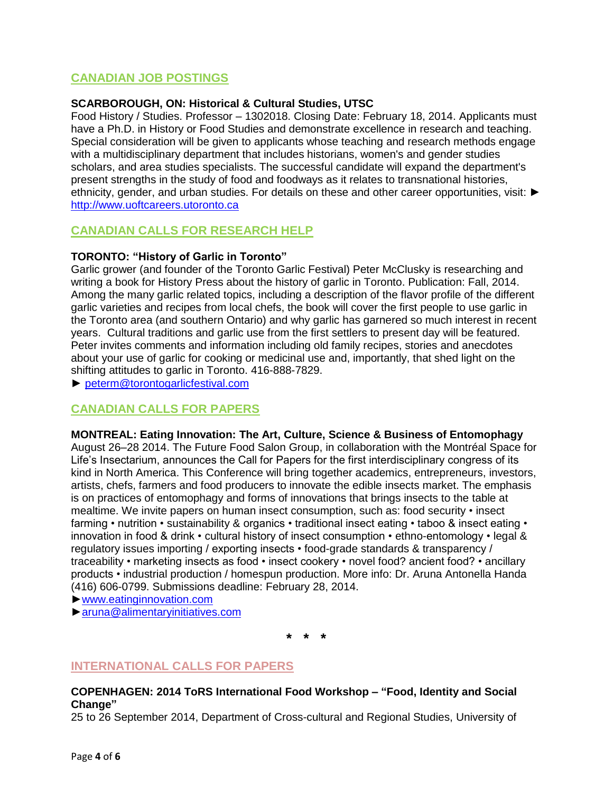# **CANADIAN JOB POSTINGS**

## **SCARBOROUGH, ON: Historical & Cultural Studies, UTSC**

Food History / Studies. Professor – 1302018. Closing Date: February 18, 2014. Applicants must have a Ph.D. in History or Food Studies and demonstrate excellence in research and teaching. Special consideration will be given to applicants whose teaching and research methods engage with a multidisciplinary department that includes historians, women's and gender studies scholars, and area studies specialists. The successful candidate will expand the department's present strengths in the study of food and foodways as it relates to transnational histories, ethnicity, gender, and urban studies. For details on these and other career opportunities, visit: ▶ [http://www.uoftcareers.utoronto.ca](http://www.uoftcareers.utoronto.ca/)

# **CANADIAN CALLS FOR RESEARCH HELP**

## **TORONTO: "History of Garlic in Toronto"**

Garlic grower (and founder of the Toronto Garlic Festival) Peter McClusky is researching and writing a book for History Press about the history of garlic in Toronto. Publication: Fall, 2014. Among the many garlic related topics, including a description of the flavor profile of the different garlic varieties and recipes from local chefs, the book will cover the first people to use garlic in the Toronto area (and southern Ontario) and why garlic has garnered so much interest in recent years. Cultural traditions and garlic use from the first settlers to present day will be featured. Peter invites comments and information including old family recipes, stories and anecdotes about your use of garlic for cooking or medicinal use and, importantly, that shed light on the shifting attitudes to garlic in Toronto. 416-888-7829.

► [peterm@torontogarlicfestival.com](mailto:peterm@torontogarlicfestival.com)

# **CANADIAN CALLS FOR PAPERS**

## **MONTREAL: Eating Innovation: The Art, Culture, Science & Business of Entomophagy**

August 26–28 2014. The Future Food Salon Group, in collaboration with the Montréal Space for Life's Insectarium, announces the Call for Papers for the first interdisciplinary congress of its kind in North America. This Conference will bring together academics, entrepreneurs, investors, artists, chefs, farmers and food producers to innovate the edible insects market. The emphasis is on practices of entomophagy and forms of innovations that brings insects to the table at mealtime. We invite papers on human insect consumption, such as: food security • insect farming • nutrition • sustainability & organics • traditional insect eating • taboo & insect eating • innovation in food & drink • cultural history of insect consumption • ethno-entomology • legal & regulatory issues importing / exporting insects • food-grade standards & transparency / traceability • marketing insects as food • insect cookery • novel food? ancient food? • ancillary products • industrial production / homespun production. More info: Dr. Aruna Antonella Handa (416) 606-0799. Submissions deadline: February 28, 2014.

[►www.eatinginnovation.com](http://www.eatinginnovation.com/)

[►aruna@alimentaryinitiatives.com](mailto:aruna@alimentaryinitiatives.com)

**\* \* \***

# **INTERNATIONAL CALLS FOR PAPERS**

**COPENHAGEN: 2014 ToRS International Food Workshop – "Food, Identity and Social Change"**

25 to 26 September 2014, Department of Cross-cultural and Regional Studies, University of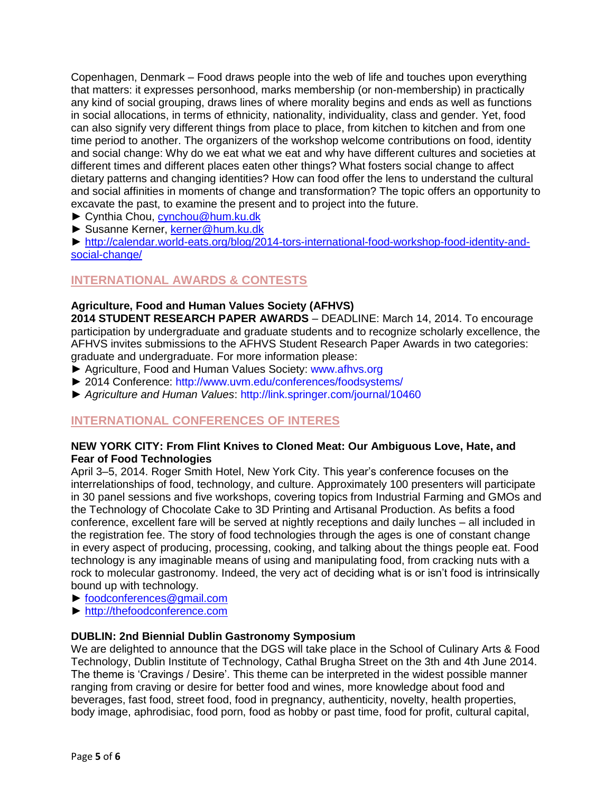Copenhagen, Denmark – Food draws people into the web of life and touches upon everything that matters: it expresses personhood, marks membership (or non-membership) in practically any kind of social grouping, draws lines of where morality begins and ends as well as functions in social allocations, in terms of ethnicity, nationality, individuality, class and gender. Yet, food can also signify very different things from place to place, from kitchen to kitchen and from one time period to another. The organizers of the workshop welcome contributions on food, identity and social change: Why do we eat what we eat and why have different cultures and societies at different times and different places eaten other things? What fosters social change to affect dietary patterns and changing identities? How can food offer the lens to understand the cultural and social affinities in moments of change and transformation? The topic offers an opportunity to excavate the past, to examine the present and to project into the future.

- ► Cynthia Chou, [cynchou@hum.ku.dk](mailto:cynchou@hum.ku.dk)
- ► Susanne Kerner, [kerner@hum.ku.dk](mailto:kerner@hum.ku.dk)

► [http://calendar.world-eats.org/blog/2014-tors-international-food-workshop-food-identity-and](http://calendar.world-eats.org/blog/2014-tors-international-food-workshop-food-identity-and-social-change/)[social-change/](http://calendar.world-eats.org/blog/2014-tors-international-food-workshop-food-identity-and-social-change/)

# **INTERNATIONAL AWARDS & CONTESTS**

## **Agriculture, Food and Human Values Society (AFHVS)**

**2014 STUDENT RESEARCH PAPER AWARDS** – DEADLINE: March 14, 2014. To encourage participation by undergraduate and graduate students and to recognize scholarly excellence, the AFHVS invites submissions to the AFHVS Student Research Paper Awards in two categories: graduate and undergraduate. For more information please:

- ► Agriculture, Food and Human Values Society: www.afhvs.org
- ► 2014 Conference: http://www.uvm.edu/conferences/foodsystems/
- *► Agriculture and Human Values*: http://link.springer.com/journal/10460

# **INTERNATIONAL CONFERENCES OF INTERES**

#### **NEW YORK CITY: From Flint Knives to Cloned Meat: Our Ambiguous Love, Hate, and Fear of Food Technologies**

April 3–5, 2014. Roger Smith Hotel, New York City. This year's conference focuses on the interrelationships of food, technology, and culture. Approximately 100 presenters will participate in 30 panel sessions and five workshops, covering topics from Industrial Farming and GMOs and the Technology of Chocolate Cake to 3D Printing and Artisanal Production. As befits a food conference, excellent fare will be served at nightly receptions and daily lunches – all included in the registration fee. The story of food technologies through the ages is one of constant change in every aspect of producing, processing, cooking, and talking about the things people eat. Food technology is any imaginable means of using and manipulating food, from cracking nuts with a rock to molecular gastronomy. Indeed, the very act of deciding what is or isn't food is intrinsically bound up with technology.

- ► [foodconferences@gmail.com](mailto:foodconferences@gmail.com)
- [► http://thefoodconference.com](►%20http:/thefoodconference.com)

## **DUBLIN: 2nd Biennial Dublin Gastronomy Symposium**

We are delighted to announce that the DGS will take place in the School of Culinary Arts & Food Technology, Dublin Institute of Technology, Cathal Brugha Street on the 3th and 4th June 2014. The theme is 'Cravings / Desire'. This theme can be interpreted in the widest possible manner ranging from craving or desire for better food and wines, more knowledge about food and beverages, fast food, street food, food in pregnancy, authenticity, novelty, health properties, body image, aphrodisiac, food porn, food as hobby or past time, food for profit, cultural capital,